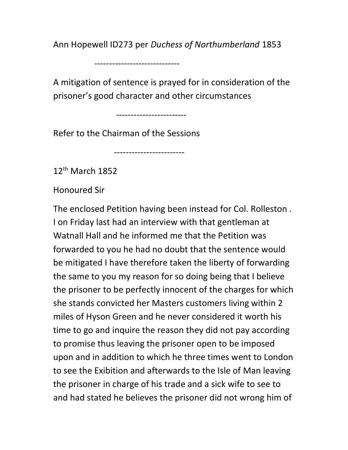Ann Hopewell ID273 per Duchess of Northumberland 1853

-----------------------------

A mitigation of sentence is prayed for in consideration of the prisoner's good character and other circumstances

------------------------

Refer to the Chairman of the Sessions

------------------------

12th March 1852

Honoured Sir

The enclosed Petition having been instead for Col. Rolleston . I on Friday last had an interview with that gentleman at Watnall Hall and he informed me that the Petition was forwarded to you he had no doubt that the sentence would be mitigated I have therefore taken the liberty of forwarding the same to you my reason for so doing being that I believe the prisoner to be perfectly innocent of the charges for which she stands convicted her Masters customers living within 2 miles of Hyson Green and he never considered it worth his time to go and inquire the reason they did not pay according to promise thus leaving the prisoner open to be imposed upon and in addition to which he three times went to London to see the Exibition and afterwards to the Isle of Man leaving the prisoner in charge of his trade and a sick wife to see to and had stated he believes the prisoner did not wrong him of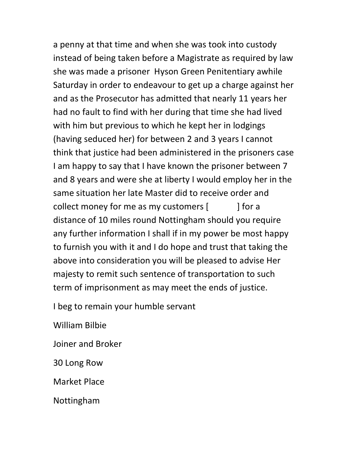a penny at that time and when she was took into custody instead of being taken before a Magistrate as required by law she was made a prisoner Hyson Green Penitentiary awhile Saturday in order to endeavour to get up a charge against her and as the Prosecutor has admitted that nearly 11 years her had no fault to find with her during that time she had lived with him but previous to which he kept her in lodgings (having seduced her) for between 2 and 3 years I cannot think that justice had been administered in the prisoners case I am happy to say that I have known the prisoner between 7 and 8 years and were she at liberty I would employ her in the same situation her late Master did to receive order and collect money for me as my customers  $[$   $]$  for a distance of 10 miles round Nottingham should you require any further information I shall if in my power be most happy to furnish you with it and I do hope and trust that taking the above into consideration you will be pleased to advise Her majesty to remit such sentence of transportation to such term of imprisonment as may meet the ends of justice.

I beg to remain your humble servant

William Bilbie

Joiner and Broker

30 Long Row

Market Place

Nottingham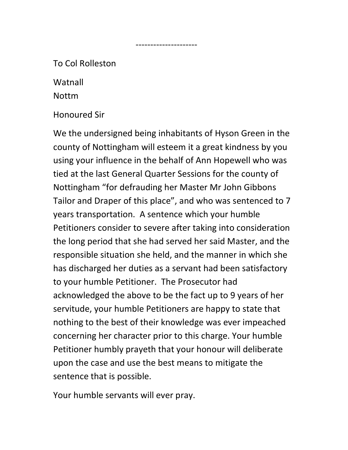## To Col Rolleston

Watnall

Nottm

Honoured Sir

We the undersigned being inhabitants of Hyson Green in the county of Nottingham will esteem it a great kindness by you using your influence in the behalf of Ann Hopewell who was tied at the last General Quarter Sessions for the county of Nottingham "for defrauding her Master Mr John Gibbons Tailor and Draper of this place", and who was sentenced to 7 years transportation. A sentence which your humble Petitioners consider to severe after taking into consideration the long period that she had served her said Master, and the responsible situation she held, and the manner in which she has discharged her duties as a servant had been satisfactory to your humble Petitioner. The Prosecutor had acknowledged the above to be the fact up to 9 years of her servitude, your humble Petitioners are happy to state that nothing to the best of their knowledge was ever impeached concerning her character prior to this charge. Your humble Petitioner humbly prayeth that your honour will deliberate upon the case and use the best means to mitigate the sentence that is possible.

---------------------

Your humble servants will ever pray.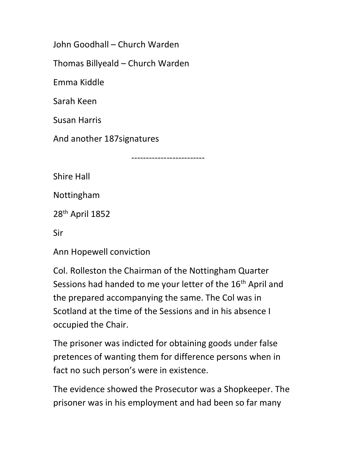John Goodhall – Church Warden

Thomas Billyeald – Church Warden

Emma Kiddle

Sarah Keen

Susan Harris

And another 187signatures

-------------------------

Shire Hall

Nottingham

28th April 1852

Sir

Ann Hopewell conviction

Col. Rolleston the Chairman of the Nottingham Quarter Sessions had handed to me your letter of the 16<sup>th</sup> April and the prepared accompanying the same. The Col was in Scotland at the time of the Sessions and in his absence I occupied the Chair.

The prisoner was indicted for obtaining goods under false pretences of wanting them for difference persons when in fact no such person's were in existence.

The evidence showed the Prosecutor was a Shopkeeper. The prisoner was in his employment and had been so far many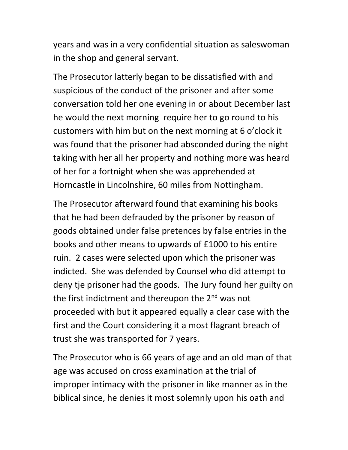years and was in a very confidential situation as saleswoman in the shop and general servant.

The Prosecutor latterly began to be dissatisfied with and suspicious of the conduct of the prisoner and after some conversation told her one evening in or about December last he would the next morning require her to go round to his customers with him but on the next morning at 6 o'clock it was found that the prisoner had absconded during the night taking with her all her property and nothing more was heard of her for a fortnight when she was apprehended at Horncastle in Lincolnshire, 60 miles from Nottingham.

The Prosecutor afterward found that examining his books that he had been defrauded by the prisoner by reason of goods obtained under false pretences by false entries in the books and other means to upwards of £1000 to his entire ruin. 2 cases were selected upon which the prisoner was indicted. She was defended by Counsel who did attempt to deny tje prisoner had the goods. The Jury found her guilty on the first indictment and thereupon the 2<sup>nd</sup> was not proceeded with but it appeared equally a clear case with the first and the Court considering it a most flagrant breach of trust she was transported for 7 years.

The Prosecutor who is 66 years of age and an old man of that age was accused on cross examination at the trial of improper intimacy with the prisoner in like manner as in the biblical since, he denies it most solemnly upon his oath and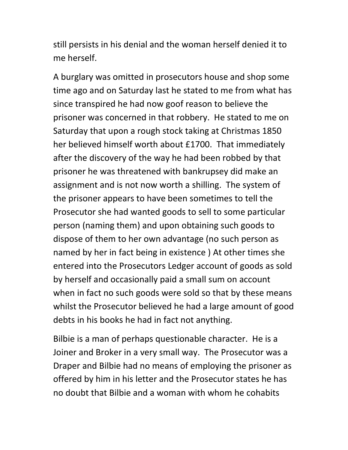still persists in his denial and the woman herself denied it to me herself.

A burglary was omitted in prosecutors house and shop some time ago and on Saturday last he stated to me from what has since transpired he had now goof reason to believe the prisoner was concerned in that robbery. He stated to me on Saturday that upon a rough stock taking at Christmas 1850 her believed himself worth about £1700. That immediately after the discovery of the way he had been robbed by that prisoner he was threatened with bankrupsey did make an assignment and is not now worth a shilling. The system of the prisoner appears to have been sometimes to tell the Prosecutor she had wanted goods to sell to some particular person (naming them) and upon obtaining such goods to dispose of them to her own advantage (no such person as named by her in fact being in existence ) At other times she entered into the Prosecutors Ledger account of goods as sold by herself and occasionally paid a small sum on account when in fact no such goods were sold so that by these means whilst the Prosecutor believed he had a large amount of good debts in his books he had in fact not anything.

Bilbie is a man of perhaps questionable character. He is a Joiner and Broker in a very small way. The Prosecutor was a Draper and Bilbie had no means of employing the prisoner as offered by him in his letter and the Prosecutor states he has no doubt that Bilbie and a woman with whom he cohabits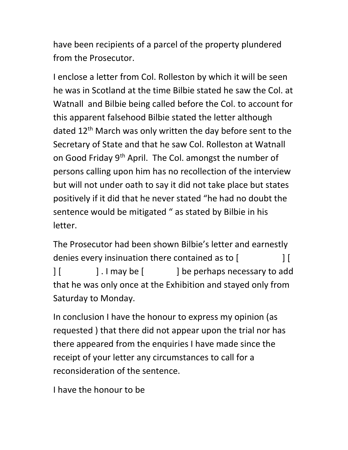have been recipients of a parcel of the property plundered from the Prosecutor.

I enclose a letter from Col. Rolleston by which it will be seen he was in Scotland at the time Bilbie stated he saw the Col. at Watnall and Bilbie being called before the Col. to account for this apparent falsehood Bilbie stated the letter although dated 12<sup>th</sup> March was only written the day before sent to the Secretary of State and that he saw Col. Rolleston at Watnall on Good Friday 9<sup>th</sup> April. The Col. amongst the number of persons calling upon him has no recollection of the interview but will not under oath to say it did not take place but states positively if it did that he never stated "he had no doubt the sentence would be mitigated " as stated by Bilbie in his letter.

The Prosecutor had been shown Bilbie's letter and earnestly denies every insinuation there contained as to  $\begin{bmatrix} \end{bmatrix}$ | [  $\vert$  . I may be [  $\vert$  be perhaps necessary to add that he was only once at the Exhibition and stayed only from Saturday to Monday.

In conclusion I have the honour to express my opinion (as requested ) that there did not appear upon the trial nor has there appeared from the enquiries I have made since the receipt of your letter any circumstances to call for a reconsideration of the sentence.

I have the honour to be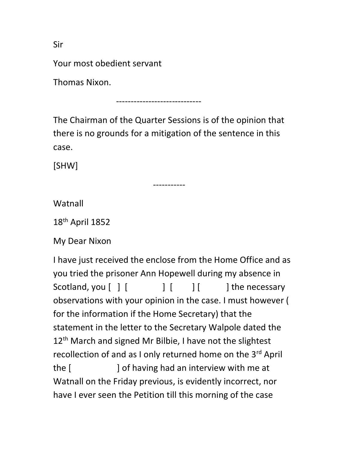Sir

Your most obedient servant

Thomas Nixon.

-----------------------------

The Chairman of the Quarter Sessions is of the opinion that there is no grounds for a mitigation of the sentence in this case.

[SHW]

-----------

**Watnall** 

18th April 1852

My Dear Nixon

I have just received the enclose from the Home Office and as you tried the prisoner Ann Hopewell during my absence in Scotland, you  $\begin{bmatrix} | & | & | & | \end{bmatrix}$   $\begin{bmatrix} | & | & | \end{bmatrix}$  the necessary observations with your opinion in the case. I must however ( for the information if the Home Secretary) that the statement in the letter to the Secretary Walpole dated the 12<sup>th</sup> March and signed Mr Bilbie, I have not the slightest recollection of and as I only returned home on the 3<sup>rd</sup> April the [ ] of having had an interview with me at Watnall on the Friday previous, is evidently incorrect, nor have I ever seen the Petition till this morning of the case